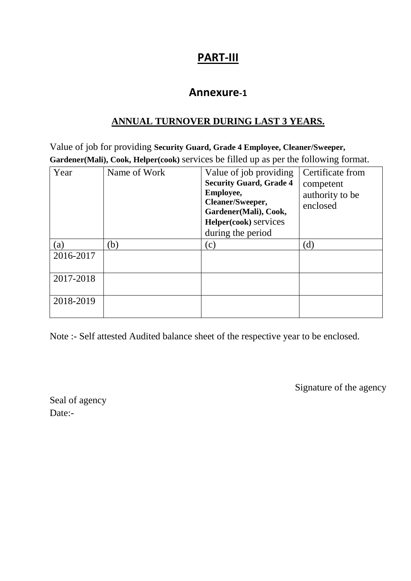# **PART-III**

### **Annexure-1**

#### **ANNUAL TURNOVER DURING LAST 3 YEARS.**

Value of job for providing **Security Guard, Grade 4 Employee, Cleaner/Sweeper, Gardener(Mali), Cook, Helper(cook)** services be filled up as per the following format.

| Year      | Name of Work | Value of job providing<br><b>Security Guard, Grade 4</b><br>Employee,<br>Cleaner/Sweeper,<br>Gardener(Mali), Cook,<br>Helper(cook) services<br>during the period | Certificate from<br>competent<br>authority to be<br>enclosed |
|-----------|--------------|------------------------------------------------------------------------------------------------------------------------------------------------------------------|--------------------------------------------------------------|
| (a)       | (b)          | (c)                                                                                                                                                              | (d)                                                          |
| 2016-2017 |              |                                                                                                                                                                  |                                                              |
| 2017-2018 |              |                                                                                                                                                                  |                                                              |
| 2018-2019 |              |                                                                                                                                                                  |                                                              |

Note :- Self attested Audited balance sheet of the respective year to be enclosed.

Signature of the agency

Seal of agency Date:-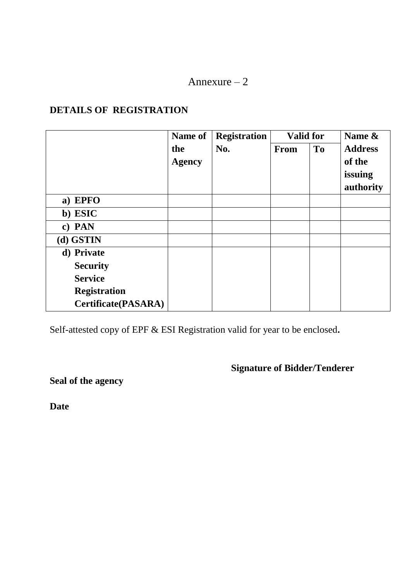#### Annexure – 2

#### **DETAILS OF REGISTRATION**

|                            | Name of       | <b>Registration</b> | <b>Valid for</b> |           | Name &         |  |
|----------------------------|---------------|---------------------|------------------|-----------|----------------|--|
|                            | the           | No.                 | From             | <b>To</b> | <b>Address</b> |  |
|                            | <b>Agency</b> |                     |                  |           | of the         |  |
|                            |               |                     |                  |           | issuing        |  |
|                            |               |                     |                  |           | authority      |  |
| a) EPFO                    |               |                     |                  |           |                |  |
| b) ESIC                    |               |                     |                  |           |                |  |
| c) PAN                     |               |                     |                  |           |                |  |
| (d) GSTIN                  |               |                     |                  |           |                |  |
| d) Private                 |               |                     |                  |           |                |  |
| <b>Security</b>            |               |                     |                  |           |                |  |
| <b>Service</b>             |               |                     |                  |           |                |  |
| <b>Registration</b>        |               |                     |                  |           |                |  |
| <b>Certificate(PASARA)</b> |               |                     |                  |           |                |  |

Self-attested copy of EPF & ESI Registration valid for year to be enclosed**.**

**Signature of Bidder/Tenderer**

**Seal of the agency**

**Date**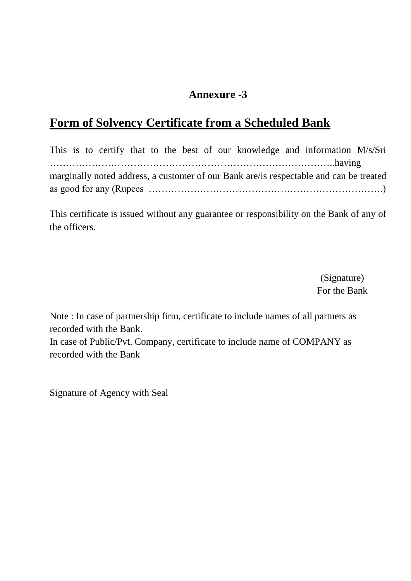## **Annexure -3**

# **Form of Solvency Certificate from a Scheduled Bank**

This is to certify that to the best of our knowledge and information M/s/Sri ……………………………………………………………………………..having marginally noted address, a customer of our Bank are/is respectable and can be treated as good for any (Rupees ……………………………………………………………….)

This certificate is issued without any guarantee or responsibility on the Bank of any of the officers.

> (Signature) For the Bank

Note : In case of partnership firm, certificate to include names of all partners as recorded with the Bank.

In case of Public/Pvt. Company, certificate to include name of COMPANY as recorded with the Bank

Signature of Agency with Seal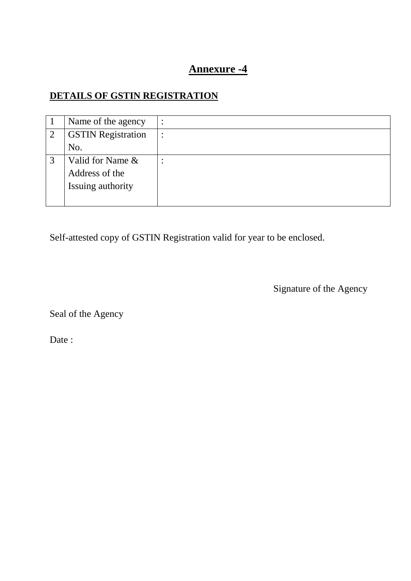## **Annexure -4**

## **DETAILS OF GSTIN REGISTRATION**

|                | Name of the agency        | $\bullet$ |
|----------------|---------------------------|-----------|
| $\overline{2}$ | <b>GSTIN Registration</b> |           |
|                | No.                       |           |
| 3              | Valid for Name &          |           |
|                | Address of the            |           |
|                | Issuing authority         |           |
|                |                           |           |

Self-attested copy of GSTIN Registration valid for year to be enclosed.

Signature of the Agency

Seal of the Agency

Date: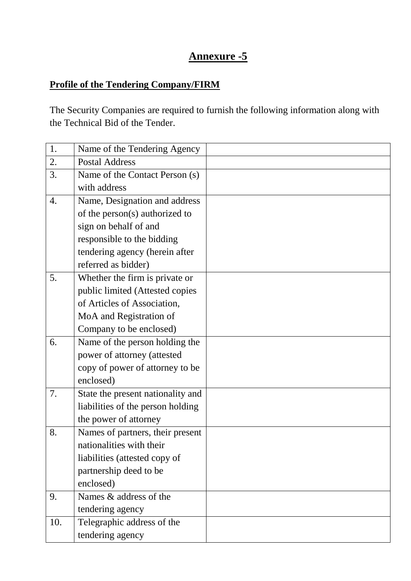## **Annexure -5**

# **Profile of the Tendering Company/FIRM**

The Security Companies are required to furnish the following information along with the Technical Bid of the Tender.

| 1.  | Name of the Tendering Agency      |  |
|-----|-----------------------------------|--|
| 2.  | <b>Postal Address</b>             |  |
| 3.  | Name of the Contact Person (s)    |  |
|     | with address                      |  |
| 4.  | Name, Designation and address     |  |
|     | of the person(s) authorized to    |  |
|     | sign on behalf of and             |  |
|     | responsible to the bidding        |  |
|     | tendering agency (herein after    |  |
|     | referred as bidder)               |  |
| 5.  | Whether the firm is private or    |  |
|     | public limited (Attested copies   |  |
|     | of Articles of Association,       |  |
|     | MoA and Registration of           |  |
|     | Company to be enclosed)           |  |
| 6.  | Name of the person holding the    |  |
|     | power of attorney (attested       |  |
|     | copy of power of attorney to be   |  |
|     | enclosed)                         |  |
| 7.  | State the present nationality and |  |
|     | liabilities of the person holding |  |
|     | the power of attorney             |  |
| 8.  | Names of partners, their present  |  |
|     | nationalities with their          |  |
|     | liabilities (attested copy of     |  |
|     | partnership deed to be            |  |
|     | enclosed)                         |  |
| 9.  | Names & address of the            |  |
|     | tendering agency                  |  |
| 10. | Telegraphic address of the        |  |
|     | tendering agency                  |  |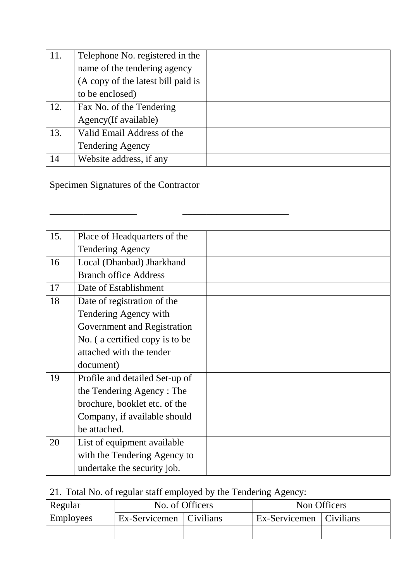| 11. | Telephone No. registered in the       |  |
|-----|---------------------------------------|--|
|     | name of the tendering agency          |  |
|     | (A copy of the latest bill paid is    |  |
|     | to be enclosed)                       |  |
| 12. | Fax No. of the Tendering              |  |
|     | Agency(If available)                  |  |
| 13. | Valid Email Address of the            |  |
|     | <b>Tendering Agency</b>               |  |
| 14  | Website address, if any               |  |
|     | Specimen Signatures of the Contractor |  |
| 15. | Place of Headquarters of the          |  |
|     | <b>Tendering Agency</b>               |  |
| 16  | Local (Dhanbad) Jharkhand             |  |
|     | <b>Branch office Address</b>          |  |
| 17  | Date of Establishment                 |  |
| 18  | Date of registration of the           |  |
|     | Tendering Agency with                 |  |
|     | Government and Registration           |  |
|     | No. (a certified copy is to be        |  |
|     | attached with the tender              |  |
|     | document)                             |  |
| 19  | Profile and detailed Set-up of        |  |
|     | the Tendering Agency: The             |  |
|     | brochure, booklet etc. of the         |  |
|     | Company, if available should          |  |
|     | be attached.                          |  |
| 20  | List of equipment available           |  |
|     | with the Tendering Agency to          |  |
|     | undertake the security job.           |  |

# 21. Total No. of regular staff employed by the Tendering Agency:

| Regular          |                           | No. of Officers | Non Officers              |  |  |
|------------------|---------------------------|-----------------|---------------------------|--|--|
| <b>Employees</b> | Ex-Servicemen   Civilians |                 | Ex-Servicemen   Civilians |  |  |
|                  |                           |                 |                           |  |  |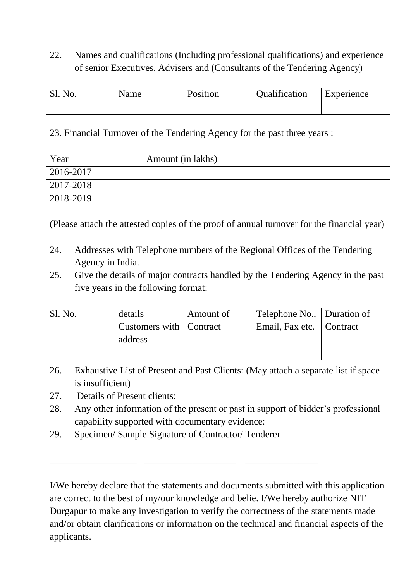22. Names and qualifications (Including professional qualifications) and experience of senior Executives, Advisers and (Consultants of the Tendering Agency)

| Sl. No. | Name | Position | Qualification | Experience |  |
|---------|------|----------|---------------|------------|--|
|         |      |          |               |            |  |

23. Financial Turnover of the Tendering Agency for the past three years :

| Year      | Amount (in lakhs) |
|-----------|-------------------|
| 2016-2017 |                   |
| 2017-2018 |                   |
| 2018-2019 |                   |

(Please attach the attested copies of the proof of annual turnover for the financial year)

- 24. Addresses with Telephone numbers of the Regional Offices of the Tendering Agency in India.
- 25. Give the details of major contracts handled by the Tendering Agency in the past five years in the following format:

| S1. No. | details                   | Amount of | Telephone No., Duration of |  |
|---------|---------------------------|-----------|----------------------------|--|
|         | Customers with   Contract |           | Email, Fax etc.   Contract |  |
|         | address                   |           |                            |  |
|         |                           |           |                            |  |

- 26. Exhaustive List of Present and Past Clients: (May attach a separate list if space is insufficient)
- 27. Details of Present clients:
- 28. Any other information of the present or past in support of bidder's professional capability supported with documentary evidence:
- 29. Specimen/ Sample Signature of Contractor/ Tenderer

\_\_\_\_\_\_\_\_\_\_\_\_\_\_\_\_\_\_ \_\_\_\_\_\_\_\_\_\_\_\_\_\_\_\_\_\_\_ \_\_\_\_\_\_\_\_\_\_\_\_\_\_\_

I/We hereby declare that the statements and documents submitted with this application are correct to the best of my/our knowledge and belie. I/We hereby authorize NIT Durgapur to make any investigation to verify the correctness of the statements made and/or obtain clarifications or information on the technical and financial aspects of the applicants.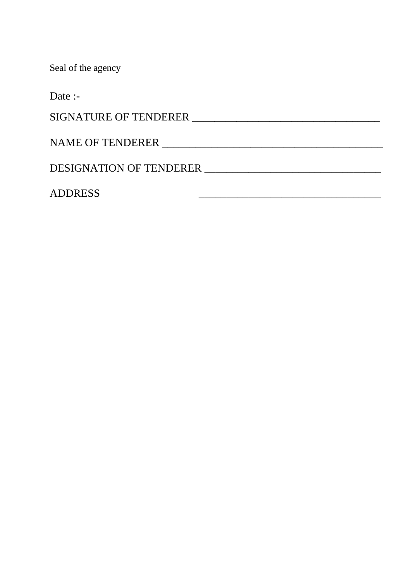Seal of the agency

Date :-

SIGNATURE OF TENDERER \_\_\_\_\_\_\_\_\_\_\_\_\_\_\_\_\_\_\_\_\_\_\_\_\_\_\_\_\_\_\_\_\_\_

NAME OF TENDERER \_\_\_\_\_\_\_\_\_\_\_\_\_\_\_\_\_\_\_\_\_\_\_\_\_\_\_\_\_\_\_\_\_\_\_\_\_\_\_\_

DESIGNATION OF TENDERER \_\_\_\_\_\_\_\_\_\_\_\_\_\_\_\_\_\_\_\_\_\_\_\_\_\_\_\_\_\_\_\_

ADDRESS \_\_\_\_\_\_\_\_\_\_\_\_\_\_\_\_\_\_\_\_\_\_\_\_\_\_\_\_\_\_\_\_\_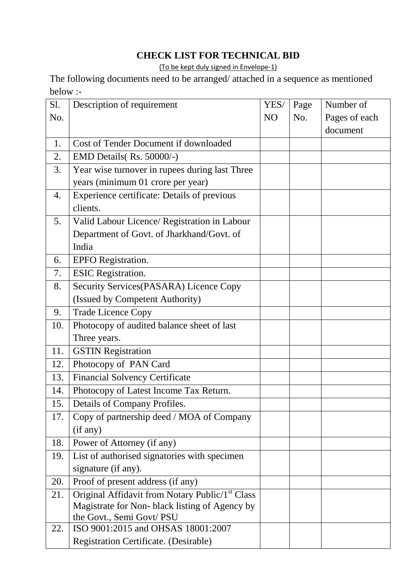#### **CHECK LIST FOR TECHNICAL BID**

(To be kept duly signed in Envelope-1)

The following documents need to be arranged/ attached in a sequence as mentioned below :-

| S1. | Description of requirement                                  | YES/           | Page | Number of     |
|-----|-------------------------------------------------------------|----------------|------|---------------|
| No. |                                                             | N <sub>O</sub> | No.  | Pages of each |
|     |                                                             |                |      | document      |
| 1.  | Cost of Tender Document if downloaded                       |                |      |               |
| 2.  | EMD Details (Rs. 50000/-)                                   |                |      |               |
| 3.  | Year wise turnover in rupees during last Three              |                |      |               |
|     | years (minimum 01 crore per year)                           |                |      |               |
| 4.  | Experience certificate: Details of previous                 |                |      |               |
|     | clients.                                                    |                |      |               |
| 5.  | Valid Labour Licence/ Registration in Labour                |                |      |               |
|     | Department of Govt. of Jharkhand/Govt. of                   |                |      |               |
|     | India                                                       |                |      |               |
| 6.  | <b>EPFO</b> Registration.                                   |                |      |               |
| 7.  | <b>ESIC</b> Registration.                                   |                |      |               |
| 8.  | Security Services (PASARA) Licence Copy                     |                |      |               |
|     | (Issued by Competent Authority)                             |                |      |               |
| 9.  | <b>Trade Licence Copy</b>                                   |                |      |               |
| 10. | Photocopy of audited balance sheet of last                  |                |      |               |
|     | Three years.                                                |                |      |               |
| 11. | <b>GSTIN Registration</b>                                   |                |      |               |
| 12. | Photocopy of PAN Card                                       |                |      |               |
| 13. | <b>Financial Solvency Certificate</b>                       |                |      |               |
| 14. | Photocopy of Latest Income Tax Return.                      |                |      |               |
| 15. | Details of Company Profiles.                                |                |      |               |
| 17. | Copy of partnership deed / MOA of Company                   |                |      |               |
|     | (if any)                                                    |                |      |               |
| 18. | Power of Attorney (if any)                                  |                |      |               |
| 19. | List of authorised signatories with specimen                |                |      |               |
|     | signature (if any).                                         |                |      |               |
| 20. | Proof of present address (if any)                           |                |      |               |
| 21. | Original Affidavit from Notary Public/1 <sup>st</sup> Class |                |      |               |
|     | Magistrate for Non-black listing of Agency by               |                |      |               |
|     | the Govt., Semi Govt/ PSU                                   |                |      |               |
| 22. | ISO 9001:2015 and OHSAS 18001:2007                          |                |      |               |
|     | Registration Certificate. (Desirable)                       |                |      |               |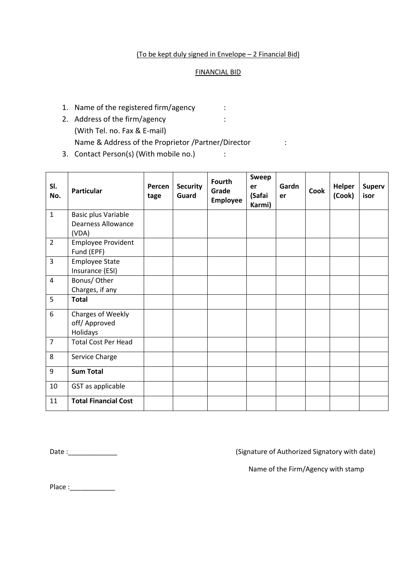#### (To be kept duly signed in Envelope – 2 Financial Bid)

#### FINANCIAL BID

- 1. Name of the registered firm/agency :
- 2. Address of the firm/agency : (With Tel. no. Fax & E-mail) Name & Address of the Proprietor /Partner/Director :
- 3. Contact Person(s) (With mobile no.) :

| SI.<br>No.     | <b>Particular</b>           | Percen<br>tage | <b>Security</b><br>Guard | <b>Fourth</b><br>Grade<br><b>Employee</b> | <b>Sweep</b><br>er<br>(Safai<br>Karmi) | Gardn<br>er | Cook | <b>Helper</b><br>(Cook) | <b>Superv</b><br>isor |
|----------------|-----------------------------|----------------|--------------------------|-------------------------------------------|----------------------------------------|-------------|------|-------------------------|-----------------------|
| $1\,$          | Basic plus Variable         |                |                          |                                           |                                        |             |      |                         |                       |
|                | <b>Dearness Allowance</b>   |                |                          |                                           |                                        |             |      |                         |                       |
|                | (VDA)                       |                |                          |                                           |                                        |             |      |                         |                       |
| $\overline{2}$ | <b>Employee Provident</b>   |                |                          |                                           |                                        |             |      |                         |                       |
|                | Fund (EPF)                  |                |                          |                                           |                                        |             |      |                         |                       |
| 3              | <b>Employee State</b>       |                |                          |                                           |                                        |             |      |                         |                       |
|                | Insurance (ESI)             |                |                          |                                           |                                        |             |      |                         |                       |
| $\overline{4}$ | Bonus/ Other                |                |                          |                                           |                                        |             |      |                         |                       |
|                | Charges, if any             |                |                          |                                           |                                        |             |      |                         |                       |
| 5              | <b>Total</b>                |                |                          |                                           |                                        |             |      |                         |                       |
| 6              | Charges of Weekly           |                |                          |                                           |                                        |             |      |                         |                       |
|                | off/ Approved               |                |                          |                                           |                                        |             |      |                         |                       |
|                | Holidays                    |                |                          |                                           |                                        |             |      |                         |                       |
| $\overline{7}$ | <b>Total Cost Per Head</b>  |                |                          |                                           |                                        |             |      |                         |                       |
| 8              | Service Charge              |                |                          |                                           |                                        |             |      |                         |                       |
| 9              | <b>Sum Total</b>            |                |                          |                                           |                                        |             |      |                         |                       |
| 10             | GST as applicable           |                |                          |                                           |                                        |             |      |                         |                       |
| 11             | <b>Total Financial Cost</b> |                |                          |                                           |                                        |             |      |                         |                       |

Date :\_\_\_\_\_\_\_\_\_\_\_\_\_ (Signature of Authorized Signatory with date)

Name of the Firm/Agency with stamp

Place :\_\_\_\_\_\_\_\_\_\_\_\_